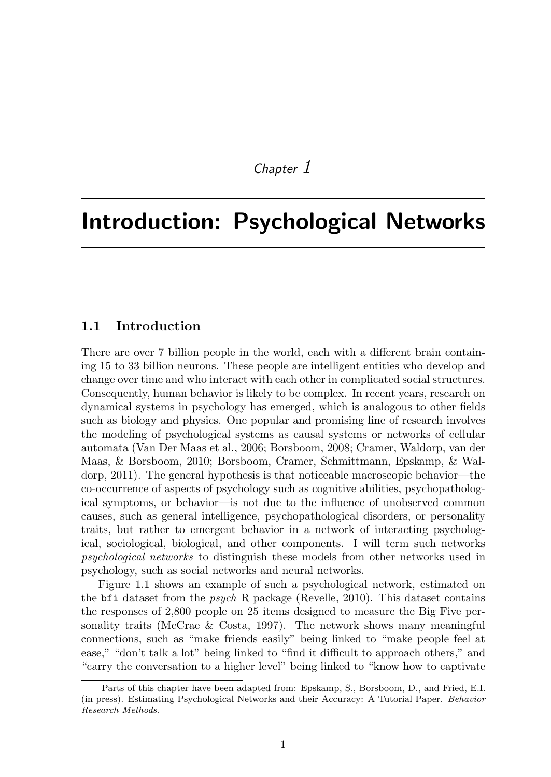## *Chapter 1*

# Introduction: Psychological Networks

#### 1.1 Introduction

There are over 7 billion people in the world, each with a different brain containing 15 to 33 billion neurons. These people are intelligent entities who develop and change over time and who interact with each other in complicated social structures. Consequently, human behavior is likely to be complex. In recent years, research on dynamical systems in psychology has emerged, which is analogous to other fields such as biology and physics. One popular and promising line of research involves the modeling of psychological systems as causal systems or networks of cellular automata (Van Der Maas et al., 2006; Borsboom, 2008; Cramer, Waldorp, van der Maas, & Borsboom, 2010; Borsboom, Cramer, Schmittmann, Epskamp, & Waldorp, 2011). The general hypothesis is that noticeable macroscopic behavior—the co-occurrence of aspects of psychology such as cognitive abilities, psychopathological symptoms, or behavior—is not due to the influence of unobserved common causes, such as general intelligence, psychopathological disorders, or personality traits, but rather to emergent behavior in a network of interacting psychological, sociological, biological, and other components. I will term such networks *psychological networks* to distinguish these models from other networks used in psychology, such as social networks and neural networks.

Figure 1.1 shows an example of such a psychological network, estimated on the bfi dataset from the *psych* R package (Revelle, 2010). This dataset contains the responses of 2*,*800 people on 25 items designed to measure the Big Five personality traits (McCrae & Costa, 1997). The network shows many meaningful connections, such as "make friends easily" being linked to "make people feel at ease," "don't talk a lot" being linked to "find it difficult to approach others," and "carry the conversation to a higher level" being linked to "know how to captivate

Parts of this chapter have been adapted from: Epskamp, S., Borsboom, D., and Fried, E.I. (in press). Estimating Psychological Networks and their Accuracy: A Tutorial Paper. *Behavior Research Methods*.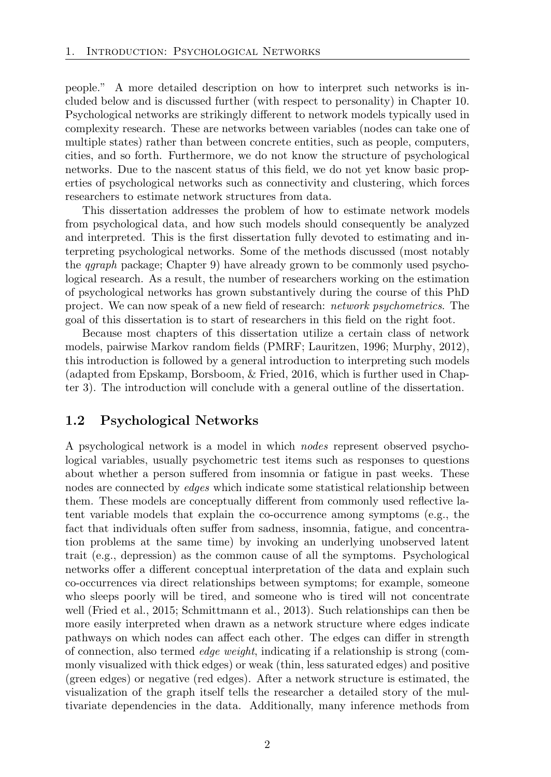people." A more detailed description on how to interpret such networks is included below and is discussed further (with respect to personality) in Chapter 10. Psychological networks are strikingly different to network models typically used in complexity research. These are networks between variables (nodes can take one of multiple states) rather than between concrete entities, such as people, computers, cities, and so forth. Furthermore, we do not know the structure of psychological networks. Due to the nascent status of this field, we do not yet know basic properties of psychological networks such as connectivity and clustering, which forces researchers to estimate network structures from data.

This dissertation addresses the problem of how to estimate network models from psychological data, and how such models should consequently be analyzed and interpreted. This is the first dissertation fully devoted to estimating and interpreting psychological networks. Some of the methods discussed (most notably the *qgraph* package; Chapter 9) have already grown to be commonly used psychological research. As a result, the number of researchers working on the estimation of psychological networks has grown substantively during the course of this PhD project. We can now speak of a new field of research: *network psychometrics*. The goal of this dissertation is to start of researchers in this field on the right foot.

Because most chapters of this dissertation utilize a certain class of network models, pairwise Markov random fields (PMRF; Lauritzen, 1996; Murphy, 2012), this introduction is followed by a general introduction to interpreting such models (adapted from Epskamp, Borsboom, & Fried, 2016, which is further used in Chapter 3). The introduction will conclude with a general outline of the dissertation.

#### 1.2 Psychological Networks

A psychological network is a model in which *nodes* represent observed psychological variables, usually psychometric test items such as responses to questions about whether a person suffered from insomnia or fatigue in past weeks. These nodes are connected by *edges* which indicate some statistical relationship between them. These models are conceptually different from commonly used reflective latent variable models that explain the co-occurrence among symptoms (e.g., the fact that individuals often suffer from sadness, insomnia, fatigue, and concentration problems at the same time) by invoking an underlying unobserved latent trait (e.g., depression) as the common cause of all the symptoms. Psychological networks offer a different conceptual interpretation of the data and explain such co-occurrences via direct relationships between symptoms; for example, someone who sleeps poorly will be tired, and someone who is tired will not concentrate well (Fried et al., 2015; Schmittmann et al., 2013). Such relationships can then be more easily interpreted when drawn as a network structure where edges indicate pathways on which nodes can affect each other. The edges can differ in strength of connection, also termed *edge weight*, indicating if a relationship is strong (commonly visualized with thick edges) or weak (thin, less saturated edges) and positive (green edges) or negative (red edges). After a network structure is estimated, the visualization of the graph itself tells the researcher a detailed story of the multivariate dependencies in the data. Additionally, many inference methods from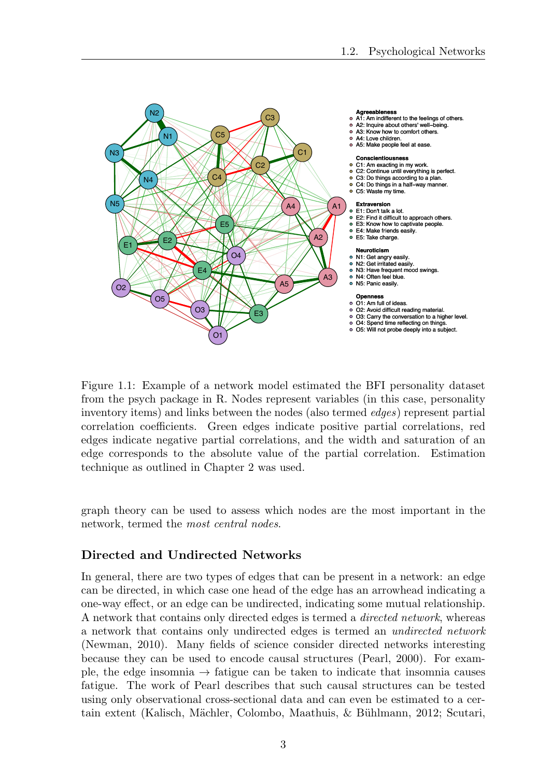

Figure 1.1: Example of a network model estimated the BFI personality dataset from the psych package in R. Nodes represent variables (in this case, personality inventory items) and links between the nodes (also termed *edges*) represent partial correlation coefficients. Green edges indicate positive partial correlations, red edges indicate negative partial correlations, and the width and saturation of an edge corresponds to the absolute value of the partial correlation. Estimation technique as outlined in Chapter 2 was used.

graph theory can be used to assess which nodes are the most important in the network, termed the *most central nodes*.

#### Directed and Undirected Networks

In general, there are two types of edges that can be present in a network: an edge can be directed, in which case one head of the edge has an arrowhead indicating a one-way effect, or an edge can be undirected, indicating some mutual relationship. A network that contains only directed edges is termed a *directed network*, whereas a network that contains only undirected edges is termed an *undirected network* (Newman, 2010). Many fields of science consider directed networks interesting because they can be used to encode causal structures (Pearl, 2000). For example, the edge insomnia  $\rightarrow$  fatigue can be taken to indicate that insomnia causes fatigue. The work of Pearl describes that such causal structures can be tested using only observational cross-sectional data and can even be estimated to a certain extent (Kalisch, M¨achler, Colombo, Maathuis, & B¨uhlmann, 2012; Scutari,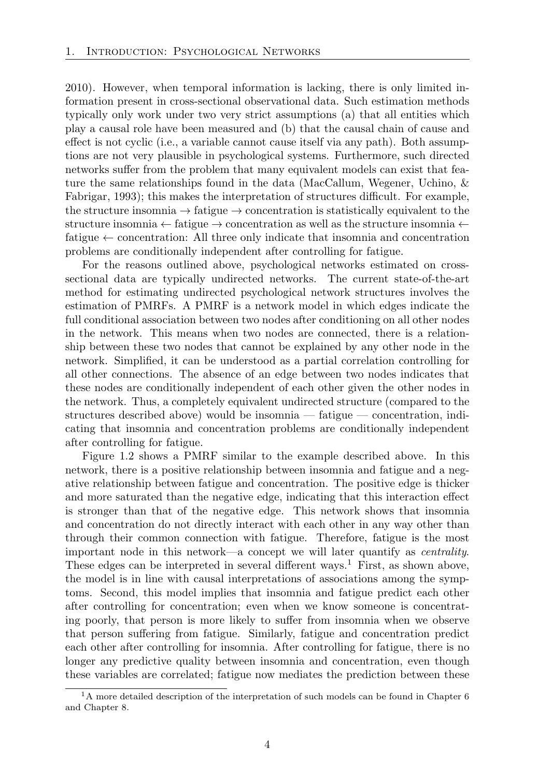2010). However, when temporal information is lacking, there is only limited information present in cross-sectional observational data. Such estimation methods typically only work under two very strict assumptions (a) that all entities which play a causal role have been measured and (b) that the causal chain of cause and effect is not cyclic (i.e., a variable cannot cause itself via any path). Both assumptions are not very plausible in psychological systems. Furthermore, such directed networks suffer from the problem that many equivalent models can exist that feature the same relationships found in the data (MacCallum, Wegener, Uchino, & Fabrigar, 1993); this makes the interpretation of structures difficult. For example, the structure insomnia  $\rightarrow$  fatigue  $\rightarrow$  concentration is statistically equivalent to the structure insomnia  $\leftarrow$  fatigue  $\rightarrow$  concentration as well as the structure insomnia  $\leftarrow$ fatigue  $\leftarrow$  concentration: All three only indicate that insomnia and concentration problems are conditionally independent after controlling for fatigue.

For the reasons outlined above, psychological networks estimated on crosssectional data are typically undirected networks. The current state-of-the-art method for estimating undirected psychological network structures involves the estimation of PMRFs. A PMRF is a network model in which edges indicate the full conditional association between two nodes after conditioning on all other nodes in the network. This means when two nodes are connected, there is a relationship between these two nodes that cannot be explained by any other node in the network. Simplified, it can be understood as a partial correlation controlling for all other connections. The absence of an edge between two nodes indicates that these nodes are conditionally independent of each other given the other nodes in the network. Thus, a completely equivalent undirected structure (compared to the structures described above) would be insomnia — fatigue — concentration, indicating that insomnia and concentration problems are conditionally independent after controlling for fatigue.

Figure 1.2 shows a PMRF similar to the example described above. In this network, there is a positive relationship between insomnia and fatigue and a negative relationship between fatigue and concentration. The positive edge is thicker and more saturated than the negative edge, indicating that this interaction effect is stronger than that of the negative edge. This network shows that insomnia and concentration do not directly interact with each other in any way other than through their common connection with fatigue. Therefore, fatigue is the most important node in this network—a concept we will later quantify as *centrality*. These edges can be interpreted in several different ways.<sup>1</sup> First, as shown above, the model is in line with causal interpretations of associations among the symptoms. Second, this model implies that insomnia and fatigue predict each other after controlling for concentration; even when we know someone is concentrating poorly, that person is more likely to suffer from insomnia when we observe that person suffering from fatigue. Similarly, fatigue and concentration predict each other after controlling for insomnia. After controlling for fatigue, there is no longer any predictive quality between insomnia and concentration, even though these variables are correlated; fatigue now mediates the prediction between these

<sup>1</sup>A more detailed description of the interpretation of such models can be found in Chapter 6 and Chapter 8.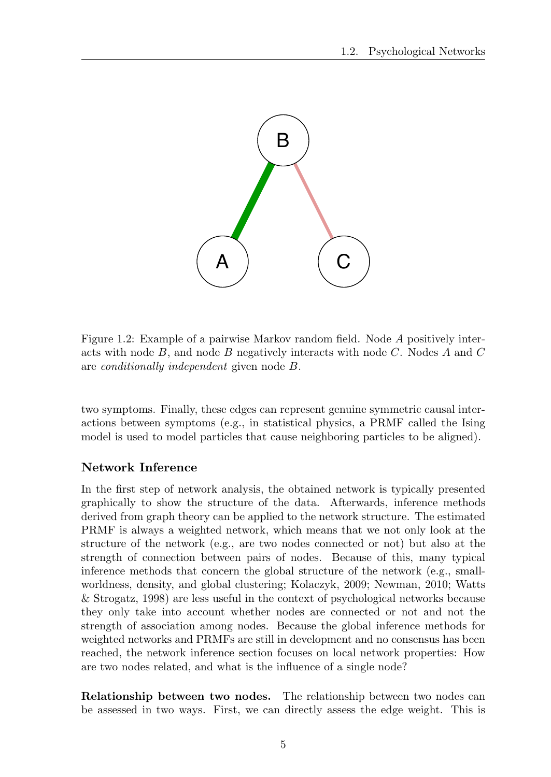

Figure 1.2: Example of a pairwise Markov random field. Node *A* positively interacts with node *B*, and node *B* negatively interacts with node *C*. Nodes *A* and *C* are *conditionally independent* given node *B*.

two symptoms. Finally, these edges can represent genuine symmetric causal interactions between symptoms (e.g., in statistical physics, a PRMF called the Ising model is used to model particles that cause neighboring particles to be aligned).

#### Network Inference

In the first step of network analysis, the obtained network is typically presented graphically to show the structure of the data. Afterwards, inference methods derived from graph theory can be applied to the network structure. The estimated PRMF is always a weighted network, which means that we not only look at the structure of the network (e.g., are two nodes connected or not) but also at the strength of connection between pairs of nodes. Because of this, many typical inference methods that concern the global structure of the network (e.g., smallworldness, density, and global clustering; Kolaczyk, 2009; Newman, 2010; Watts & Strogatz, 1998) are less useful in the context of psychological networks because they only take into account whether nodes are connected or not and not the strength of association among nodes. Because the global inference methods for weighted networks and PRMFs are still in development and no consensus has been reached, the network inference section focuses on local network properties: How are two nodes related, and what is the influence of a single node?

Relationship between two nodes. The relationship between two nodes can be assessed in two ways. First, we can directly assess the edge weight. This is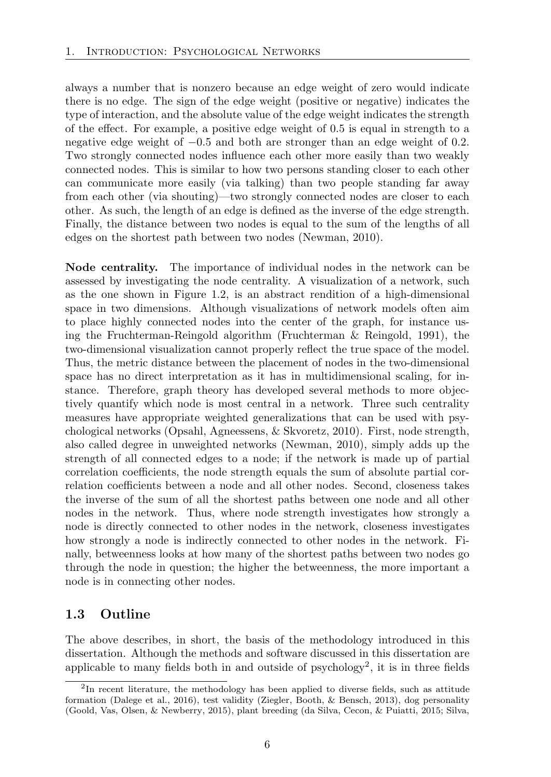always a number that is nonzero because an edge weight of zero would indicate there is no edge. The sign of the edge weight (positive or negative) indicates the type of interaction, and the absolute value of the edge weight indicates the strength of the effect. For example, a positive edge weight of  $0.5$  is equal in strength to a negative edge weight of *−*0*.*5 and both are stronger than an edge weight of 0*.*2. Two strongly connected nodes influence each other more easily than two weakly connected nodes. This is similar to how two persons standing closer to each other can communicate more easily (via talking) than two people standing far away from each other (via shouting)—two strongly connected nodes are closer to each other. As such, the length of an edge is defined as the inverse of the edge strength. Finally, the distance between two nodes is equal to the sum of the lengths of all edges on the shortest path between two nodes (Newman, 2010).

Node centrality. The importance of individual nodes in the network can be assessed by investigating the node centrality. A visualization of a network, such as the one shown in Figure 1.2, is an abstract rendition of a high-dimensional space in two dimensions. Although visualizations of network models often aim to place highly connected nodes into the center of the graph, for instance using the Fruchterman-Reingold algorithm (Fruchterman & Reingold, 1991), the two-dimensional visualization cannot properly reflect the true space of the model. Thus, the metric distance between the placement of nodes in the two-dimensional space has no direct interpretation as it has in multidimensional scaling, for instance. Therefore, graph theory has developed several methods to more objectively quantify which node is most central in a network. Three such centrality measures have appropriate weighted generalizations that can be used with psychological networks (Opsahl, Agneessens, & Skvoretz, 2010). First, node strength, also called degree in unweighted networks (Newman, 2010), simply adds up the strength of all connected edges to a node; if the network is made up of partial correlation coefficients, the node strength equals the sum of absolute partial correlation coefficients between a node and all other nodes. Second, closeness takes the inverse of the sum of all the shortest paths between one node and all other nodes in the network. Thus, where node strength investigates how strongly a node is directly connected to other nodes in the network, closeness investigates how strongly a node is indirectly connected to other nodes in the network. Finally, betweenness looks at how many of the shortest paths between two nodes go through the node in question; the higher the betweenness, the more important a node is in connecting other nodes.

### 1.3 Outline

The above describes, in short, the basis of the methodology introduced in this dissertation. Although the methods and software discussed in this dissertation are applicable to many fields both in and outside of psychology<sup>2</sup>, it is in three fields

<sup>&</sup>lt;sup>2</sup>In recent literature, the methodology has been applied to diverse fields, such as attitude formation (Dalege et al., 2016), test validity (Ziegler, Booth, & Bensch, 2013), dog personality (Goold, Vas, Olsen, & Newberry, 2015), plant breeding (da Silva, Cecon, & Puiatti, 2015; Silva,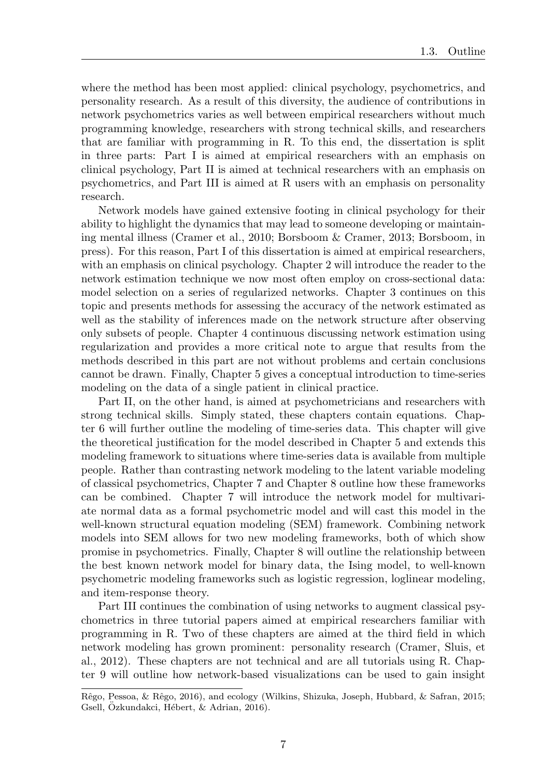where the method has been most applied: clinical psychology, psychometrics, and personality research. As a result of this diversity, the audience of contributions in network psychometrics varies as well between empirical researchers without much programming knowledge, researchers with strong technical skills, and researchers that are familiar with programming in R. To this end, the dissertation is split in three parts: Part I is aimed at empirical researchers with an emphasis on clinical psychology, Part II is aimed at technical researchers with an emphasis on psychometrics, and Part III is aimed at R users with an emphasis on personality research.

Network models have gained extensive footing in clinical psychology for their ability to highlight the dynamics that may lead to someone developing or maintaining mental illness (Cramer et al., 2010; Borsboom & Cramer, 2013; Borsboom, in press). For this reason, Part I of this dissertation is aimed at empirical researchers, with an emphasis on clinical psychology. Chapter 2 will introduce the reader to the network estimation technique we now most often employ on cross-sectional data: model selection on a series of regularized networks. Chapter 3 continues on this topic and presents methods for assessing the accuracy of the network estimated as well as the stability of inferences made on the network structure after observing only subsets of people. Chapter 4 continuous discussing network estimation using regularization and provides a more critical note to argue that results from the methods described in this part are not without problems and certain conclusions cannot be drawn. Finally, Chapter 5 gives a conceptual introduction to time-series modeling on the data of a single patient in clinical practice.

Part II, on the other hand, is aimed at psychometricians and researchers with strong technical skills. Simply stated, these chapters contain equations. Chapter 6 will further outline the modeling of time-series data. This chapter will give the theoretical justification for the model described in Chapter 5 and extends this modeling framework to situations where time-series data is available from multiple people. Rather than contrasting network modeling to the latent variable modeling of classical psychometrics, Chapter 7 and Chapter 8 outline how these frameworks can be combined. Chapter 7 will introduce the network model for multivariate normal data as a formal psychometric model and will cast this model in the well-known structural equation modeling (SEM) framework. Combining network models into SEM allows for two new modeling frameworks, both of which show promise in psychometrics. Finally, Chapter 8 will outline the relationship between the best known network model for binary data, the Ising model, to well-known psychometric modeling frameworks such as logistic regression, loglinear modeling, and item-response theory.

Part III continues the combination of using networks to augment classical psychometrics in three tutorial papers aimed at empirical researchers familiar with programming in R. Two of these chapters are aimed at the third field in which network modeling has grown prominent: personality research (Cramer, Sluis, et al., 2012). These chapters are not technical and are all tutorials using R. Chapter 9 will outline how network-based visualizations can be used to gain insight

Rˆego, Pessoa, & Rˆego, 2016), and ecology (Wilkins, Shizuka, Joseph, Hubbard, & Safran, 2015; Gsell, Özkundakci, Hébert, & Adrian, 2016).